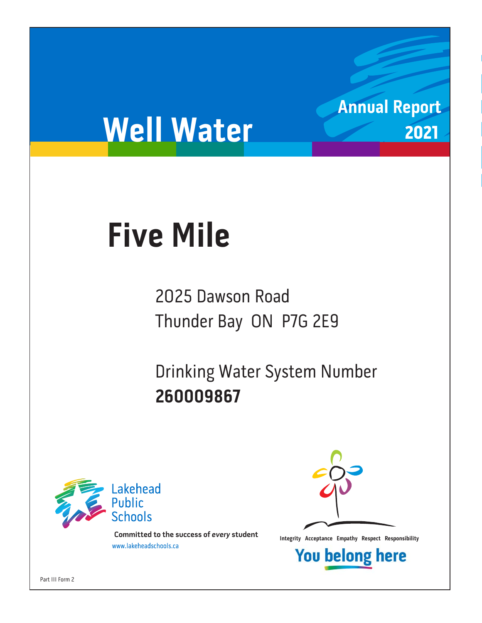# **Well Water**

# **Five Mile Five Mile**

2025 Dawson Road Thunder Bay ON P7G 2E9

Drinking Water System Number 260009867 **260009867**



**Integrity Acceptance Empathy Respect Responsibility integrity Acceptance Empathy Respect Responsibility Example 1** 



**Annual Report**

2021

**You belong here** 

Part III Form 2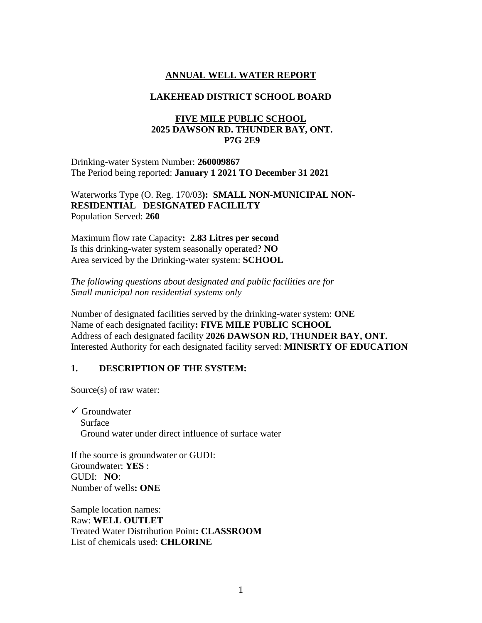## **ANNUAL WELL WATER REPORT**

#### **LAKEHEAD DISTRICT SCHOOL BOARD**

### **FIVE MILE PUBLIC SCHOOL 2025 DAWSON RD. THUNDER BAY, ONT. P7G 2E9**

Drinking-water System Number: **260009867** The Period being reported: **January 1 2021 TO December 31 2021**

Waterworks Type (O. Reg. 170/03**): SMALL NON-MUNICIPAL NON-RESIDENTIAL DESIGNATED FACILILTY**  Population Served: **260**

Maximum flow rate Capacity**: 2.83 Litres per second**  Is this drinking-water system seasonally operated? **NO** Area serviced by the Drinking-water system: **SCHOOL**

*The following questions about designated and public facilities are for Small municipal non residential systems only* 

Number of designated facilities served by the drinking-water system: **ONE** Name of each designated facility**: FIVE MILE PUBLIC SCHOOL** Address of each designated facility **2026 DAWSON RD, THUNDER BAY, ONT.** Interested Authority for each designated facility served: **MINISRTY OF EDUCATION**

### **1. DESCRIPTION OF THE SYSTEM:**

Source(s) of raw water:

 $\checkmark$  Groundwater Surface Ground water under direct influence of surface water

If the source is groundwater or GUDI: Groundwater: **YES** : GUDI: **NO**: Number of wells**: ONE**

Sample location names: Raw: **WELL OUTLET** Treated Water Distribution Point**: CLASSROOM** List of chemicals used: **CHLORINE**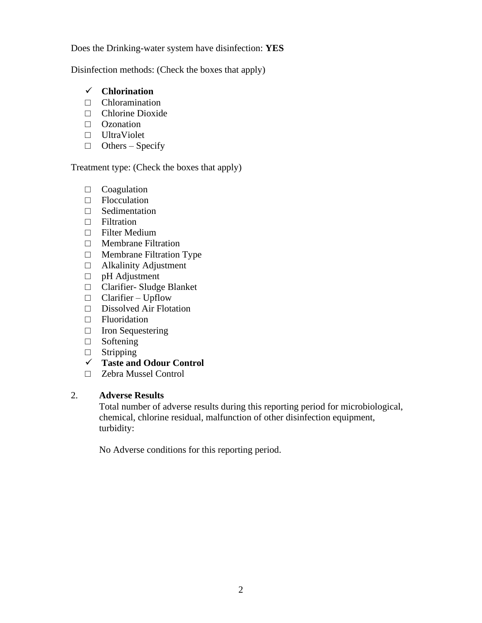Does the Drinking-water system have disinfection: **YES**

Disinfection methods: (Check the boxes that apply)

# ✓ **Chlorination**

- □ Chloramination
- □ Chlorine Dioxide
- □ Ozonation
- □ UltraViolet
- $\Box$  Others Specify

# Treatment type: (Check the boxes that apply)

- □ Coagulation
- □ Flocculation
- □ Sedimentation
- □ Filtration
- □ Filter Medium
- □ Membrane Filtration
- □ Membrane Filtration Type
- □ Alkalinity Adjustment
- □ pH Adjustment
- □ Clarifier- Sludge Blanket
- $\Box$  Clarifier Upflow
- □ Dissolved Air Flotation
- □ Fluoridation
- □ Iron Sequestering
- □ Softening
- □ Stripping
- ✓ **Taste and Odour Control**
- □ Zebra Mussel Control

# 2. **Adverse Results**

Total number of adverse results during this reporting period for microbiological, chemical, chlorine residual, malfunction of other disinfection equipment, turbidity:

No Adverse conditions for this reporting period.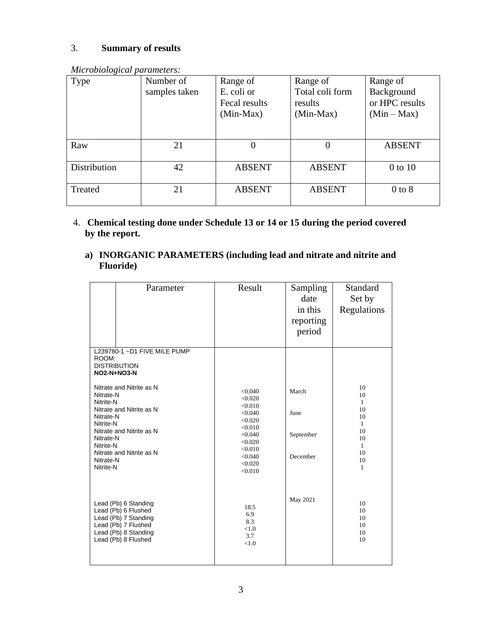# 3. **Summary of results**

| .<br>Type    | Number of<br>samples taken | Range of<br>E. coli or<br>Fecal results<br>$(Min-Max)$ | Range of<br>Total coli form<br>results<br>$(Min-Max)$ | Range of<br>Background<br>or HPC results<br>$(Min-Max)$ |
|--------------|----------------------------|--------------------------------------------------------|-------------------------------------------------------|---------------------------------------------------------|
| Raw          | 21                         |                                                        | $\overline{0}$                                        | <b>ABSENT</b>                                           |
| Distribution | 42                         | <b>ABSENT</b>                                          | <b>ABSENT</b>                                         | $0$ to $10$                                             |
| Treated      | 21                         | <b>ABSENT</b>                                          | <b>ABSENT</b>                                         | $0$ to $8$                                              |

- 4. **Chemical testing done under Schedule 13 or 14 or 15 during the period covered by the report.**
	- **a) INORGANIC PARAMETERS (including lead and nitrate and nitrite and Fluoride)**

|                                                                                                      | Parameter                                                                                                                                 | Result                                                                                                                           | Sampling<br>date<br>in this<br>reporting<br>period | Standard<br>Set by<br>Regulations                                                      |
|------------------------------------------------------------------------------------------------------|-------------------------------------------------------------------------------------------------------------------------------------------|----------------------------------------------------------------------------------------------------------------------------------|----------------------------------------------------|----------------------------------------------------------------------------------------|
| ROOM:                                                                                                | L239780-1 ~D1 FIVE MILE PUMP<br><b>DISTRIBUTION</b><br><b>NO2-N+NO3-N</b>                                                                 |                                                                                                                                  |                                                    |                                                                                        |
| Nitrate-N<br>Nitrite-N<br>Nitrate-N<br>Nitrite-N<br>Nitrate-N<br>Nitrite-N<br>Nitrate-N<br>Nitrite-N | Nitrate and Nitrite as N<br>Nitrate and Nitrite as N<br>Nitrate and Nitrite as N<br>Nitrate and Nitrite as N                              | < 0.040<br>< 0.020<br>< 0.010<br>< 0.040<br>< 0.020<br>< 0.010<br>< 0.040<br>< 0.020<br>< 0.010<br>< 0.040<br>< 0.020<br>< 0.010 | March<br>June<br>September<br>December             | 10<br>10<br>$\mathbf{1}$<br>10<br>10<br>$\mathbf{1}$<br>10<br>10<br>1<br>10<br>10<br>1 |
|                                                                                                      | Lead (Pb) 6 Standing<br>Lead (Pb) 6 Flushed<br>Lead (Pb) 7 Standing<br>Lead (Pb) 7 Flushed<br>Lead (Pb) 8 Standing<br>Lead (Pb) 8 Flushed | 18.5<br>6.9<br>8.3<br>< 1.0<br>3.7<br>< 1.0                                                                                      | May 2021                                           | 10<br>10<br>10<br>10<br>10<br>10                                                       |